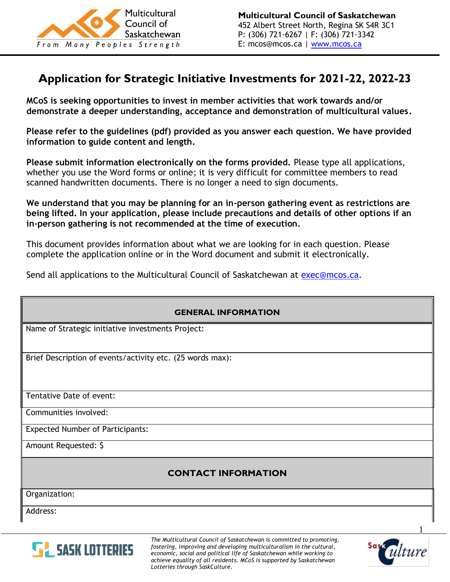

# **Application for Strategic Initiative Investments for 2021-22, 2022-23**

**MCoS is seeking opportunities to invest in member activities that work towards and/or demonstrate a deeper understanding, acceptance and demonstration of multicultural values.** 

**Please refer to the guidelines (pdf) provided as you answer each question. We have provided information to guide content and length.**

**Please submit information electronically on the forms provided.** Please type all applications, whether you use the Word forms or online; it is very difficult for committee members to read scanned handwritten documents. There is no longer a need to sign documents.

**We understand that you may be planning for an in-person gathering event as restrictions are being lifted. In your application, please include precautions and details of other options if an in-person gathering is not recommended at the time of execution.**

This document provides information about what we are looking for in each question. Please complete the application online or in the Word document and submit it electronically.

Send all applications to the Multicultural Council of Saskatchewan at [exec@mcos.ca.](mailto:exec@mcos.caI)

| <b>GENERAL INFORMATION</b>                                |  |  |
|-----------------------------------------------------------|--|--|
| Name of Strategic initiative investments Project:         |  |  |
| Brief Description of events/activity etc. (25 words max): |  |  |
| Tentative Date of event:                                  |  |  |
| Communities involved:                                     |  |  |
| <b>Expected Number of Participants:</b>                   |  |  |
| Amount Requested: \$                                      |  |  |
| <b>CONTACT INFORMATION</b>                                |  |  |
| Organization:                                             |  |  |
| Address:                                                  |  |  |



*The Multicultural Council of Saskatchewan is committed to promoting, fostering, improving and developing multiculturalism in the cultural, economic, social and political life of Saskatchewan while working to achieve equality of all residents. MCoS is supported by Saskatchewan Lotteries through SaskCulture.*

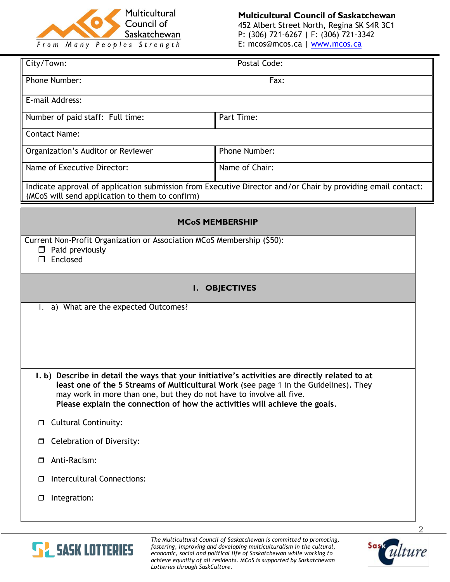

**Multicultural Council of Saskatchewan** 452 Albert Street North, Regina SK S4R 3C1 P: (306) 721-6267 | F: (306) 721-3342 E: mcos@mcos.ca | [www.mcos.ca](http://www.mcos.ca/)

| City/Town:                                                                                                                                                                                                                                                                                                                                     | Postal Code:   |  |  |  |
|------------------------------------------------------------------------------------------------------------------------------------------------------------------------------------------------------------------------------------------------------------------------------------------------------------------------------------------------|----------------|--|--|--|
| Phone Number:                                                                                                                                                                                                                                                                                                                                  | Fax:           |  |  |  |
| E-mail Address:                                                                                                                                                                                                                                                                                                                                |                |  |  |  |
| Number of paid staff: Full time:                                                                                                                                                                                                                                                                                                               | Part Time:     |  |  |  |
| <b>Contact Name:</b>                                                                                                                                                                                                                                                                                                                           |                |  |  |  |
| Organization's Auditor or Reviewer                                                                                                                                                                                                                                                                                                             | Phone Number:  |  |  |  |
| Name of Executive Director:                                                                                                                                                                                                                                                                                                                    | Name of Chair: |  |  |  |
| Indicate approval of application submission from Executive Director and/or Chair by providing email contact:<br>(MCoS will send application to them to confirm)                                                                                                                                                                                |                |  |  |  |
| <b>MCoS MEMBERSHIP</b>                                                                                                                                                                                                                                                                                                                         |                |  |  |  |
| Current Non-Profit Organization or Association MCoS Membership (\$50):<br>$\Box$ Paid previously<br>Enclosed<br>$\Box$                                                                                                                                                                                                                         |                |  |  |  |
| <b>I. OBJECTIVES</b>                                                                                                                                                                                                                                                                                                                           |                |  |  |  |
| 1. a) What are the expected Outcomes?                                                                                                                                                                                                                                                                                                          |                |  |  |  |
|                                                                                                                                                                                                                                                                                                                                                |                |  |  |  |
|                                                                                                                                                                                                                                                                                                                                                |                |  |  |  |
|                                                                                                                                                                                                                                                                                                                                                |                |  |  |  |
| I. b) Describe in detail the ways that your initiative's activities are directly related to at<br>least one of the 5 Streams of Multicultural Work (see page 1 in the Guidelines). They<br>may work in more than one, but they do not have to involve all five.<br>Please explain the connection of how the activities will achieve the goals. |                |  |  |  |
| <b>Cultural Continuity:</b><br>$\Box$                                                                                                                                                                                                                                                                                                          |                |  |  |  |
| <b>Celebration of Diversity:</b><br>$\Box$                                                                                                                                                                                                                                                                                                     |                |  |  |  |
| Anti-Racism:<br>$\Box$                                                                                                                                                                                                                                                                                                                         |                |  |  |  |
| Intercultural Connections:<br>□                                                                                                                                                                                                                                                                                                                |                |  |  |  |
| Integration:<br>$\Box$                                                                                                                                                                                                                                                                                                                         |                |  |  |  |



*The Multicultural Council of Saskatchewan is committed to promoting, fostering, improving and developing multiculturalism in the cultural, economic, social and political life of Saskatchewan while working to achieve equality of all residents. MCoS is supported by Saskatchewan Lotteries through SaskCulture.*

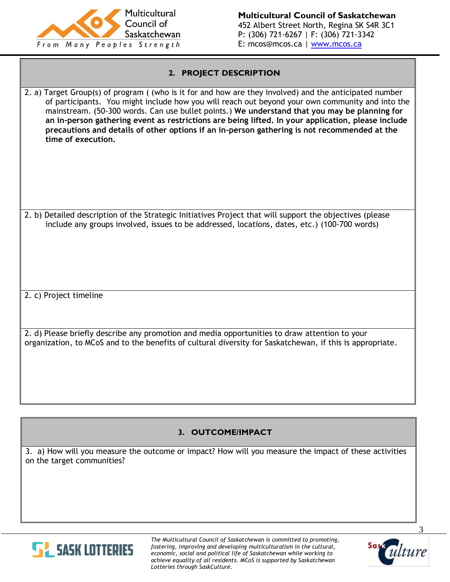

#### **2. PROJECT DESCRIPTION**

2. a) Target Group(s) of program ( (who is it for and how are they involved) and the anticipated number of participants. You might include how you will reach out beyond your own community and into the mainstream. (50-300 words. Can use bullet points.) **We understand that you may be planning for an in-person gathering event as restrictions are being lifted. In your application, please include precautions and details of other options if an in-person gathering is not recommended at the time of execution.**

2. b) Detailed description of the Strategic Initiatives Project that will support the objectives (please include any groups involved, issues to be addressed, locations, dates, etc.) (100-700 words)

2. c) Project timeline

2. d) Please briefly describe any promotion and media opportunities to draw attention to your organization, to MCoS and to the benefits of cultural diversity for Saskatchewan, if this is appropriate.

### **3. OUTCOME/IMPACT**

3. a) How will you measure the outcome or impact? How will you measure the impact of these activities on the target communities?



*The Multicultural Council of Saskatchewan is committed to promoting, fostering, improving and developing multiculturalism in the cultural, economic, social and political life of Saskatchewan while working to achieve equality of all residents. MCoS is supported by Saskatchewan Lotteries through SaskCulture.*



3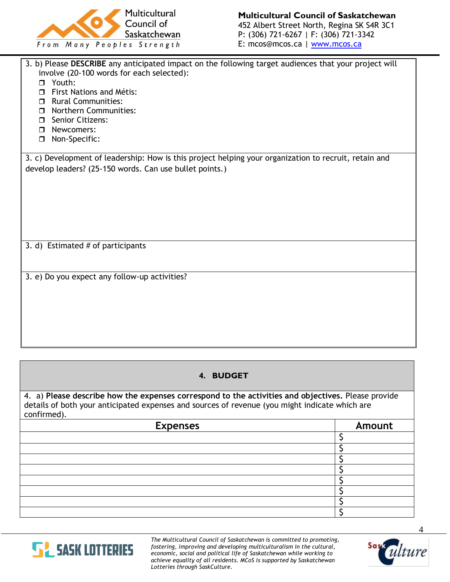

| 3. b) Please DESCRIBE any anticipated impact on the following target audiences that your project will<br>involve (20-100 words for each selected):<br>Youth:<br>$\Box$<br><b>First Nations and Métis:</b><br>п<br>Rural Communities:<br><b>D</b> Northern Communities:<br><b>D</b> Senior Citizens:<br>Newcomers:<br>$\Box$<br>Non-Specific:<br>$\Box$ |
|--------------------------------------------------------------------------------------------------------------------------------------------------------------------------------------------------------------------------------------------------------------------------------------------------------------------------------------------------------|
| 3. c) Development of leadership: How is this project helping your organization to recruit, retain and                                                                                                                                                                                                                                                  |
| develop leaders? (25-150 words. Can use bullet points.)                                                                                                                                                                                                                                                                                                |
|                                                                                                                                                                                                                                                                                                                                                        |
| 3. d) Estimated # of participants                                                                                                                                                                                                                                                                                                                      |
| 3. e) Do you expect any follow-up activities?                                                                                                                                                                                                                                                                                                          |

# **4. BUDGET**

4. a) **Please describe how the expenses correspond to the activities and objectives.** Please provide details of both your anticipated expenses and sources of revenue (you might indicate which are confirmed).

| <b>Expenses</b> | <b>Amount</b> |  |
|-----------------|---------------|--|
|                 |               |  |
|                 |               |  |
|                 |               |  |
|                 |               |  |
|                 |               |  |
|                 |               |  |
|                 |               |  |
|                 |               |  |



*The Multicultural Council of Saskatchewan is committed to promoting, fostering, improving and developing multiculturalism in the cultural, economic, social and political life of Saskatchewan while working to achieve equality of all residents. MCoS is supported by Saskatchewan Lotteries through SaskCulture.*



4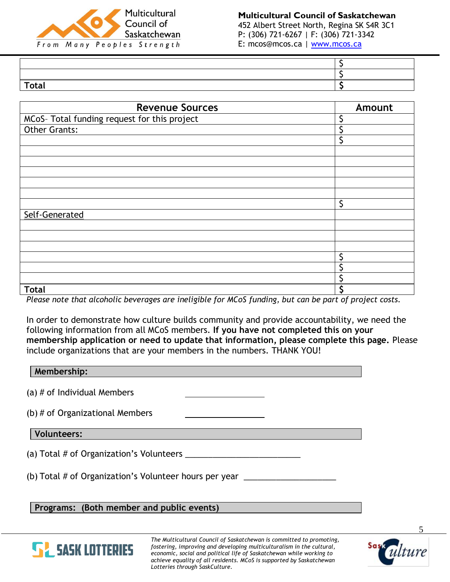

#### **Multicultural Council of Saskatchewan** 452 Albert Street North, Regina SK S4R 3C1 P: (306) 721-6267 | F: (306) 721-3342

E: mcos@mcos.ca | [www.mcos.ca](http://www.mcos.ca/)

| <b>Total</b> |  |
|--------------|--|

| <b>Revenue Sources</b>                       | Amount |
|----------------------------------------------|--------|
| MCoS- Total funding request for this project |        |
| <b>Other Grants:</b>                         |        |
|                                              |        |
|                                              |        |
|                                              |        |
|                                              |        |
|                                              |        |
|                                              |        |
|                                              | \$     |
| Self-Generated                               |        |
|                                              |        |
|                                              |        |
|                                              |        |
|                                              |        |
|                                              |        |
|                                              |        |
| <b>Total</b>                                 |        |

*Please note that alcoholic beverages are ineligible for MCoS funding, but can be part of project costs.*

In order to demonstrate how culture builds community and provide accountability, we need the following information from all MCoS members. **If you have not completed this on your membership application or need to update that information, please complete this page.** Please include organizations that are your members in the numbers. THANK YOU!

| Membership:                                                   |
|---------------------------------------------------------------|
| (a) $#$ of Individual Members                                 |
| (b) $#$ of Organizational Members                             |
| Volunteers:                                                   |
| (a) Total # of Organization's Volunteers ____                 |
| (b) Total # of Organization's Volunteer hours per year ______ |
| $Draarame$ : ( $Both$ mambar and public quants)               |

**Programs: (Both member and public events)**



*The Multicultural Council of Saskatchewan is committed to promoting, fostering, improving and developing multiculturalism in the cultural, economic, social and political life of Saskatchewan while working to achieve equality of all residents. MCoS is supported by Saskatchewan Lotteries through SaskCulture.*